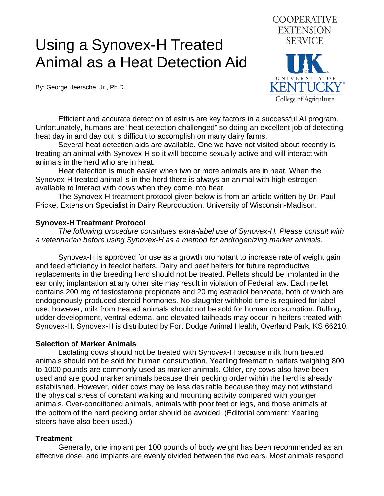## Using a Synovex-H Treated Animal as a Heat Detection Aid

By: George Heersche, Jr., Ph.D.



 Efficient and accurate detection of estrus are key factors in a successful AI program. Unfortunately, humans are "heat detection challenged" so doing an excellent job of detecting heat day in and day out is difficult to accomplish on many dairy farms.

 Several heat detection aids are available. One we have not visited about recently is treating an animal with Synovex-H so it will become sexually active and will interact with animals in the herd who are in heat.

 Heat detection is much easier when two or more animals are in heat. When the Synovex-H treated animal is in the herd there is always an animal with high estrogen available to interact with cows when they come into heat.

 The Synovex-H treatment protocol given below is from an article written by Dr. Paul Fricke, Extension Specialist in Dairy Reproduction, University of Wisconsin-Madison.

## **Synovex-H Treatment Protocol**

 *The following procedure constitutes extra-label use of Synovex-H. Please consult with a veterinarian before using Synovex-H as a method for androgenizing marker animals.* 

 Synovex-H is approved for use as a growth promotant to increase rate of weight gain and feed efficiency in feedlot heifers. Dairy and beef heifers for future reproductive replacements in the breeding herd should not be treated. Pellets should be implanted in the ear only; implantation at any other site may result in violation of Federal law. Each pellet contains 200 mg of testosterone propionate and 20 mg estradiol benzoate, both of which are endogenously produced steroid hormones. No slaughter withhold time is required for label use, however, milk from treated animals should not be sold for human consumption. Bulling, udder development, ventral edema, and elevated tailheads may occur in heifers treated with Synovex-H. Synovex-H is distributed by Fort Dodge Animal Health, Overland Park, KS 66210.

## **Selection of Marker Animals**

 Lactating cows should not be treated with Synovex-H because milk from treated animals should not be sold for human consumption. Yearling freemartin heifers weighing 800 to 1000 pounds are commonly used as marker animals. Older, dry cows also have been used and are good marker animals because their pecking order within the herd is already established. However, older cows may be less desirable because they may not withstand the physical stress of constant walking and mounting activity compared with younger animals. Over-conditioned animals, animals with poor feet or legs, and those animals at the bottom of the herd pecking order should be avoided. (Editorial comment: Yearling steers have also been used.)

## **Treatment**

 Generally, one implant per 100 pounds of body weight has been recommended as an effective dose, and implants are evenly divided between the two ears. Most animals respond